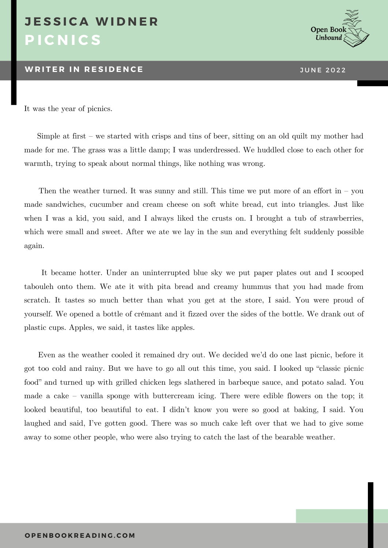## **P I C N I C S J E S S I C A W I D N E R**

## **WRITER IN RESIDENCE THE 2022**



It was the year of picnics.

 Simple at first – we started with crisps and tins of beer, sitting on an old quilt my mother had made for me. The grass was a little damp; I was underdressed. We huddled close to each other for warmth, trying to speak about normal things, like nothing was wrong.

Then the weather turned. It was sunny and still. This time we put more of an effort in  $-$  you made sandwiches, cucumber and cream cheese on soft white bread, cut into triangles. Just like when I was a kid, you said, and I always liked the crusts on. I brought a tub of strawberries, which were small and sweet. After we ate we lay in the sun and everything felt suddenly possible again.

It became hotter. Under an uninterrupted blue sky we put paper plates out and I scooped tabouleh onto them. We ate it with pita bread and creamy hummus that you had made from scratch. It tastes so much better than what you get at the store, I said. You were proud of yourself. We opened a bottle of crémant and it fizzed over the sides of the bottle. We drank out of plastic cups. Apples, we said, it tastes like apples.

Even as the weather cooled it remained dry out. We decided we'd do one last picnic, before it got too cold and rainy. But we have to go all out this time, you said. I looked up "classic picnic food" and turned up with grilled chicken legs slathered in barbeque sauce, and potato salad. You made a cake – vanilla sponge with buttercream icing. There were edible flowers on the top; it looked beautiful, too beautiful to eat. I didn't know you were so good at baking, I said. You laughed and said, I've gotten good. There was so much cake left over that we had to give some away to some other people, who were also trying to catch the last of the bearable weather.